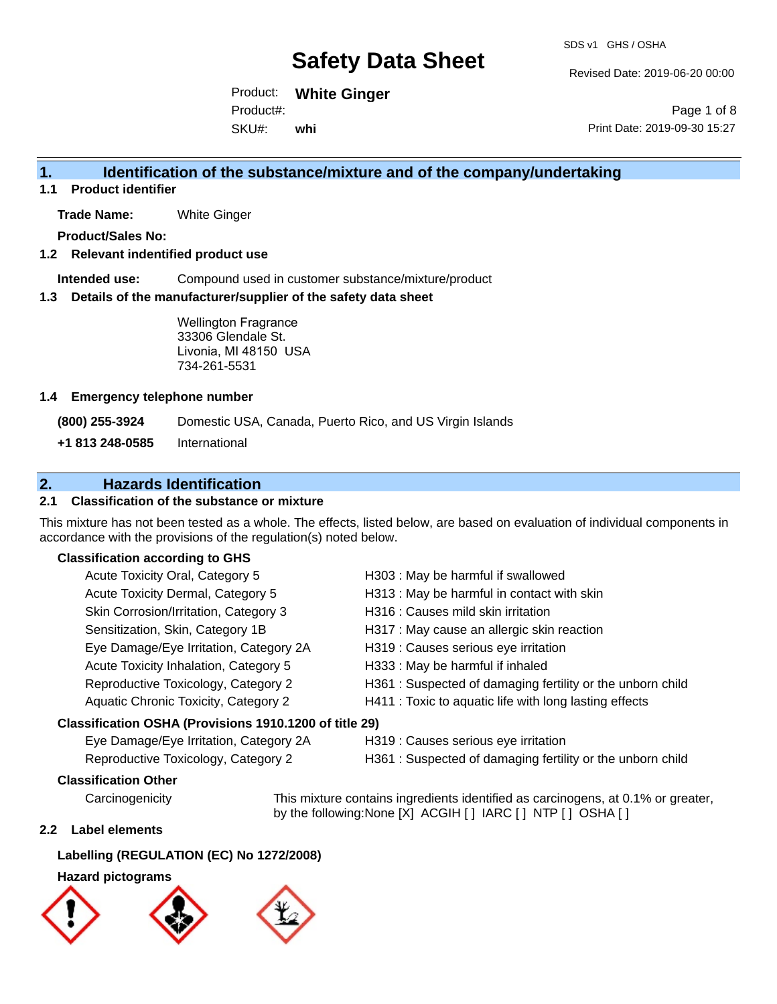Revised Date: 2019-06-20 00:00

Product: **White Ginger** SKU#: Product#: **whi**

Page 1 of 8 Print Date: 2019-09-30 15:27

### **1. Identification of the substance/mixture and of the company/undertaking**

**1.1 Product identifier**

**Trade Name:** White Ginger

**Product/Sales No:**

#### **1.2 Relevant indentified product use**

**Intended use:** Compound used in customer substance/mixture/product

#### **1.3 Details of the manufacturer/supplier of the safety data sheet**

Wellington Fragrance 33306 Glendale St. Livonia, MI 48150 USA 734-261-5531

#### **1.4 Emergency telephone number**

**(800) 255-3924** Domestic USA, Canada, Puerto Rico, and US Virgin Islands

**+1 813 248-0585** International

### **2. Hazards Identification**

#### **2.1 Classification of the substance or mixture**

This mixture has not been tested as a whole. The effects, listed below, are based on evaluation of individual components in accordance with the provisions of the regulation(s) noted below.

#### **Classification according to GHS**

| Acute Toxicity Oral, Category 5                        | H303 : May be harmful if swallowed                         |
|--------------------------------------------------------|------------------------------------------------------------|
| Acute Toxicity Dermal, Category 5                      | H313 : May be harmful in contact with skin                 |
| Skin Corrosion/Irritation, Category 3                  | H316 : Causes mild skin irritation                         |
| Sensitization, Skin, Category 1B                       | H317 : May cause an allergic skin reaction                 |
| Eye Damage/Eye Irritation, Category 2A                 | H319 : Causes serious eye irritation                       |
| Acute Toxicity Inhalation, Category 5                  | H333: May be harmful if inhaled                            |
| Reproductive Toxicology, Category 2                    | H361 : Suspected of damaging fertility or the unborn child |
| Aquatic Chronic Toxicity, Category 2                   | H411 : Toxic to aquatic life with long lasting effects     |
| Classification OSHA (Provisions 1910.1200 of title 29) |                                                            |

- Eye Damage/Eye Irritation, Category 2A H319 : Causes serious eye irritation
- Reproductive Toxicology, Category 2 H361 : Suspected of damaging fertility or the unborn child

#### **Classification Other**

Carcinogenicity This mixture contains ingredients identified as carcinogens, at 0.1% or greater, by the following:None [X] ACGIH [ ] IARC [ ] NTP [ ] OSHA [ ]

#### **2.2 Label elements**

#### **Labelling (REGULATION (EC) No 1272/2008)**

#### **Hazard pictograms**

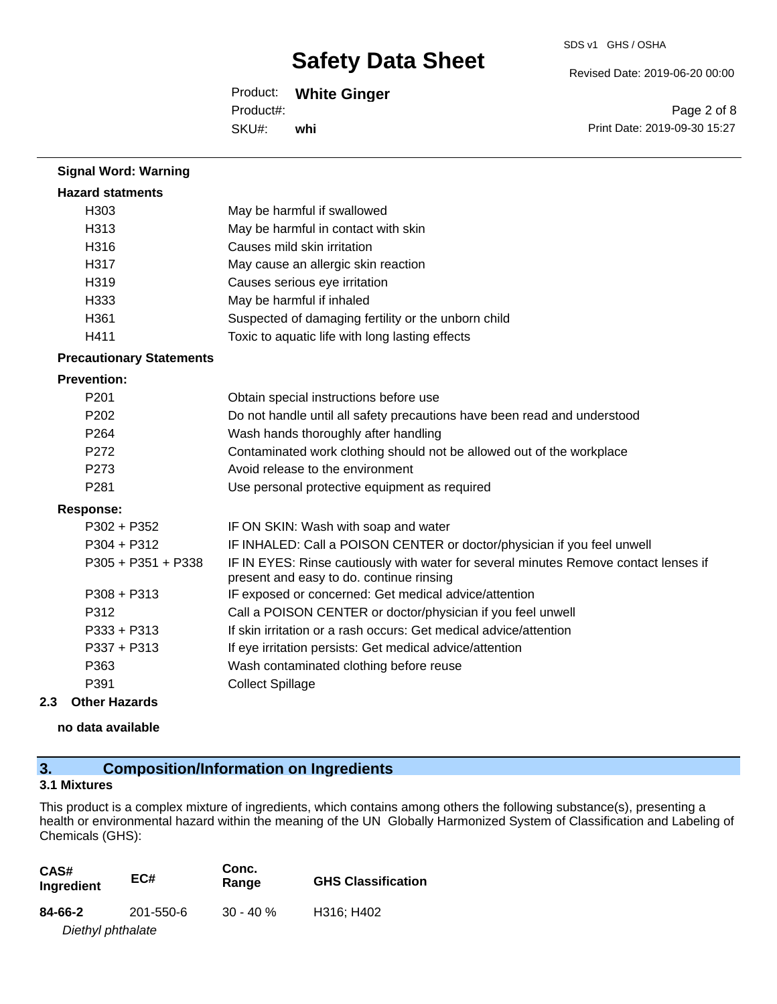#### Revised Date: 2019-06-20 00:00

Product: **White Ginger** Product#:

SKU#: **whi**

Page 2 of 8 Print Date: 2019-09-30 15:27

| <b>Signal Word: Warning</b>     |                                                                                                                                  |
|---------------------------------|----------------------------------------------------------------------------------------------------------------------------------|
| <b>Hazard statments</b>         |                                                                                                                                  |
| H <sub>303</sub>                | May be harmful if swallowed                                                                                                      |
| H313                            | May be harmful in contact with skin                                                                                              |
| H316                            | Causes mild skin irritation                                                                                                      |
| H317                            | May cause an allergic skin reaction                                                                                              |
| H319                            | Causes serious eye irritation                                                                                                    |
| H333                            | May be harmful if inhaled                                                                                                        |
| H361                            | Suspected of damaging fertility or the unborn child                                                                              |
| H411                            | Toxic to aquatic life with long lasting effects                                                                                  |
| <b>Precautionary Statements</b> |                                                                                                                                  |
| <b>Prevention:</b>              |                                                                                                                                  |
| P201                            | Obtain special instructions before use                                                                                           |
| P <sub>202</sub>                | Do not handle until all safety precautions have been read and understood                                                         |
| P <sub>264</sub>                | Wash hands thoroughly after handling                                                                                             |
| P272                            | Contaminated work clothing should not be allowed out of the workplace                                                            |
| P <sub>273</sub>                | Avoid release to the environment                                                                                                 |
| P281                            | Use personal protective equipment as required                                                                                    |
| <b>Response:</b>                |                                                                                                                                  |
| $P302 + P352$                   | IF ON SKIN: Wash with soap and water                                                                                             |
| $P304 + P312$                   | IF INHALED: Call a POISON CENTER or doctor/physician if you feel unwell                                                          |
| P305 + P351 + P338              | IF IN EYES: Rinse cautiously with water for several minutes Remove contact lenses if<br>present and easy to do. continue rinsing |
| $P308 + P313$                   | IF exposed or concerned: Get medical advice/attention                                                                            |
| P312                            | Call a POISON CENTER or doctor/physician if you feel unwell                                                                      |
| $P333 + P313$                   | If skin irritation or a rash occurs: Get medical advice/attention                                                                |
| P337 + P313                     | If eye irritation persists: Get medical advice/attention                                                                         |
| P363                            | Wash contaminated clothing before reuse                                                                                          |
| P391                            | <b>Collect Spillage</b>                                                                                                          |
| <b>Other Hazards</b><br>2.3     |                                                                                                                                  |

**no data available**

# **3. Composition/Information on Ingredients**

## **3.1 Mixtures**

This product is a complex mixture of ingredients, which contains among others the following substance(s), presenting a health or environmental hazard within the meaning of the UN Globally Harmonized System of Classification and Labeling of Chemicals (GHS):

| CAS#<br>Ingredient | EC#       | Conc.<br>Range | <b>GHS Classification</b> |
|--------------------|-----------|----------------|---------------------------|
| 84-66-2            | 201-550-6 | $30 - 40 \%$   | H316; H402                |
| Diethyl phthalate  |           |                |                           |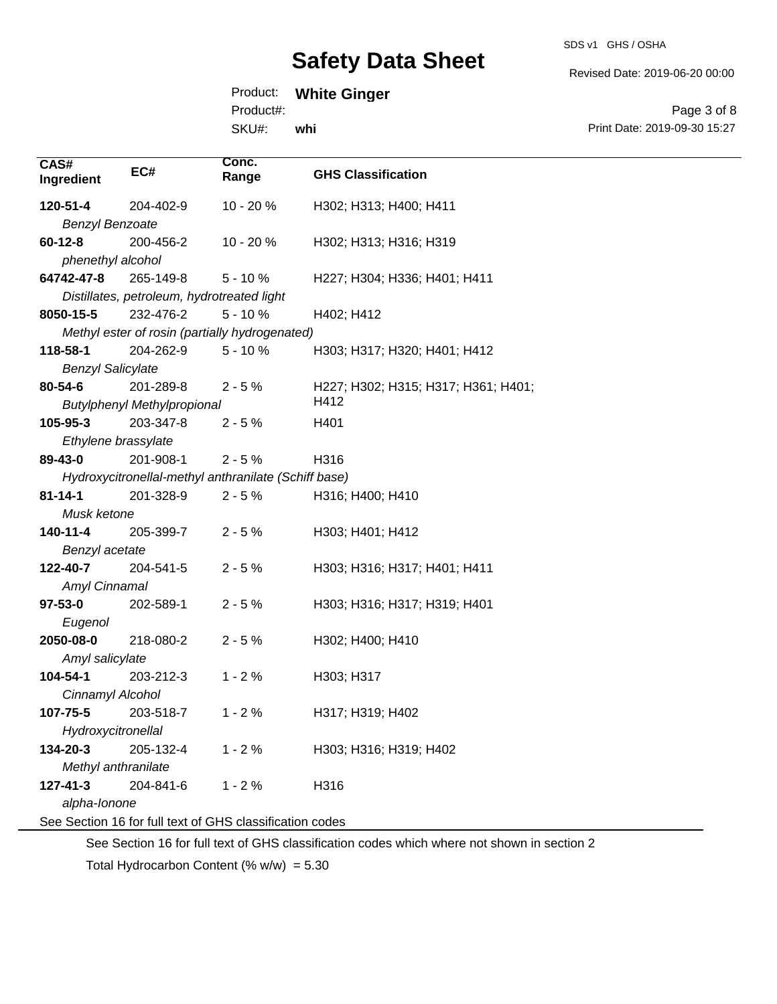SDS v1 GHS / OSHA

Revised Date: 2019-06-20 00:00

Print Date: 2019-09-30 15:27

Page 3 of 8

### Product: **White Ginger**

Product#:

**Conc.** 

**CAS#**

SKU#: **whi**

| 683#<br>Ingredient       | EC#                                | Range                                                | <b>GHS Classification</b>           |  |
|--------------------------|------------------------------------|------------------------------------------------------|-------------------------------------|--|
| 120-51-4                 | 204-402-9                          | 10 - 20 %                                            | H302; H313; H400; H411              |  |
| <b>Benzyl Benzoate</b>   |                                    |                                                      |                                     |  |
| $60 - 12 - 8$            | 200-456-2                          | 10 - 20 %                                            | H302; H313; H316; H319              |  |
| phenethyl alcohol        |                                    |                                                      |                                     |  |
| 64742-47-8               | 265-149-8                          | $5 - 10%$                                            | H227; H304; H336; H401; H411        |  |
|                          |                                    | Distillates, petroleum, hydrotreated light           |                                     |  |
| 8050-15-5                | 232-476-2                          | $5 - 10%$                                            | H402; H412                          |  |
|                          |                                    | Methyl ester of rosin (partially hydrogenated)       |                                     |  |
| 118-58-1                 | 204-262-9                          | $5 - 10%$                                            | H303; H317; H320; H401; H412        |  |
| <b>Benzyl Salicylate</b> |                                    |                                                      |                                     |  |
| 80-54-6                  | 201-289-8                          | $2 - 5%$                                             | H227; H302; H315; H317; H361; H401; |  |
|                          | <b>Butylphenyl Methylpropional</b> |                                                      | H412                                |  |
| 105-95-3                 | 203-347-8                          | $2 - 5%$                                             | H401                                |  |
| Ethylene brassylate      |                                    |                                                      |                                     |  |
| 89-43-0                  | 201-908-1                          | $2 - 5%$                                             | H316                                |  |
|                          |                                    | Hydroxycitronellal-methyl anthranilate (Schiff base) |                                     |  |
| $81 - 14 - 1$            | 201-328-9                          | $2 - 5%$                                             | H316; H400; H410                    |  |
| Musk ketone              |                                    |                                                      |                                     |  |
| 140-11-4                 | 205-399-7                          | $2 - 5%$                                             | H303; H401; H412                    |  |
| Benzyl acetate           |                                    |                                                      |                                     |  |
| 122-40-7                 | 204-541-5                          | $2 - 5%$                                             | H303; H316; H317; H401; H411        |  |
| Amyl Cinnamal            |                                    |                                                      |                                     |  |
| $97 - 53 - 0$            | 202-589-1                          | $2 - 5%$                                             | H303; H316; H317; H319; H401        |  |
| Eugenol                  |                                    |                                                      |                                     |  |
| 2050-08-0                | 218-080-2                          | $2 - 5%$                                             | H302; H400; H410                    |  |
| Amyl salicylate          |                                    |                                                      |                                     |  |
| 104-54-1                 | 203-212-3                          | $1 - 2%$                                             | H303; H317                          |  |
| Cinnamyl Alcohol         |                                    |                                                      |                                     |  |
| 107-75-5                 | 203-518-7                          | $1 - 2%$                                             | H317; H319; H402                    |  |
| Hydroxycitronellal       |                                    |                                                      |                                     |  |
| 134-20-3                 | 205-132-4                          | $1 - 2%$                                             | H303; H316; H319; H402              |  |
| Methyl anthranilate      |                                    |                                                      |                                     |  |
| $127 - 41 - 3$           | 204-841-6                          | $1 - 2%$                                             | H316                                |  |
| alpha-Ionone             |                                    |                                                      |                                     |  |

See Section 16 for full text of GHS classification codes

See Section 16 for full text of GHS classification codes which where not shown in section 2

Total Hydrocarbon Content (%  $w/w$ ) = 5.30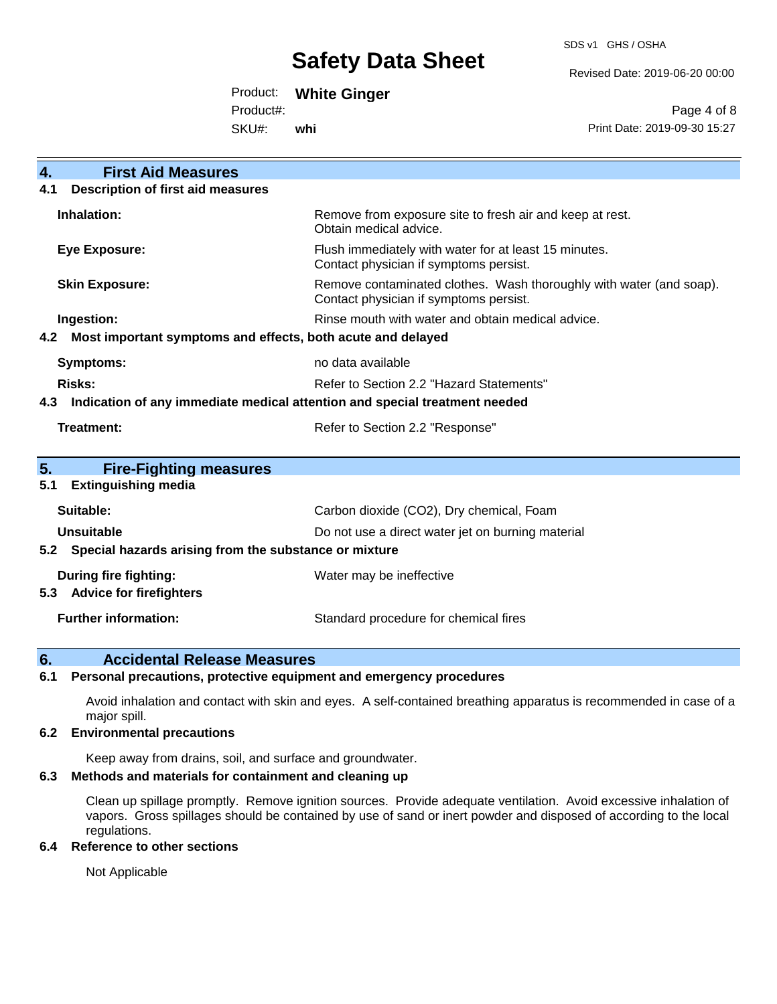SDS v1 GHS / OSHA

Revised Date: 2019-06-20 00:00

Product: **White Ginger**

Product#:

**4. First Aid Measures** 

SKU#: **whi**

Page 4 of 8 Print Date: 2019-09-30 15:27

|     | THE MUNICATION                                                             |                                                                                                               |  |
|-----|----------------------------------------------------------------------------|---------------------------------------------------------------------------------------------------------------|--|
| 4.1 | <b>Description of first aid measures</b>                                   |                                                                                                               |  |
|     | Inhalation:                                                                | Remove from exposure site to fresh air and keep at rest.<br>Obtain medical advice.                            |  |
|     | <b>Eye Exposure:</b>                                                       | Flush immediately with water for at least 15 minutes.<br>Contact physician if symptoms persist.               |  |
|     | <b>Skin Exposure:</b>                                                      | Remove contaminated clothes. Wash thoroughly with water (and soap).<br>Contact physician if symptoms persist. |  |
|     | Ingestion:                                                                 | Rinse mouth with water and obtain medical advice.                                                             |  |
| 4.2 | Most important symptoms and effects, both acute and delayed                |                                                                                                               |  |
|     | <b>Symptoms:</b>                                                           | no data available                                                                                             |  |
|     | <b>Risks:</b>                                                              | Refer to Section 2.2 "Hazard Statements"                                                                      |  |
| 4.3 | Indication of any immediate medical attention and special treatment needed |                                                                                                               |  |
|     | <b>Treatment:</b>                                                          | Refer to Section 2.2 "Response"                                                                               |  |
| 5.  | <b>Fire-Fighting measures</b>                                              |                                                                                                               |  |
| 5.1 | <b>Extinguishing media</b>                                                 |                                                                                                               |  |
|     |                                                                            |                                                                                                               |  |
|     | Suitable:                                                                  | Carbon dioxide (CO2), Dry chemical, Foam                                                                      |  |
|     | Unsuitable                                                                 | Do not use a direct water jet on burning material                                                             |  |
|     | 5.2 Special hazards arising from the substance or mixture                  |                                                                                                               |  |
|     | During fire fighting:                                                      | Water may be ineffective                                                                                      |  |
| 5.3 | <b>Advice for firefighters</b>                                             |                                                                                                               |  |
|     | <b>Further information:</b>                                                | Standard procedure for chemical fires                                                                         |  |

### **6. Accidental Release Measures**

#### **6.1 Personal precautions, protective equipment and emergency procedures**

Avoid inhalation and contact with skin and eyes. A self-contained breathing apparatus is recommended in case of a major spill.

#### **6.2 Environmental precautions**

Keep away from drains, soil, and surface and groundwater.

#### **6.3 Methods and materials for containment and cleaning up**

Clean up spillage promptly. Remove ignition sources. Provide adequate ventilation. Avoid excessive inhalation of vapors. Gross spillages should be contained by use of sand or inert powder and disposed of according to the local regulations.

#### **6.4 Reference to other sections**

Not Applicable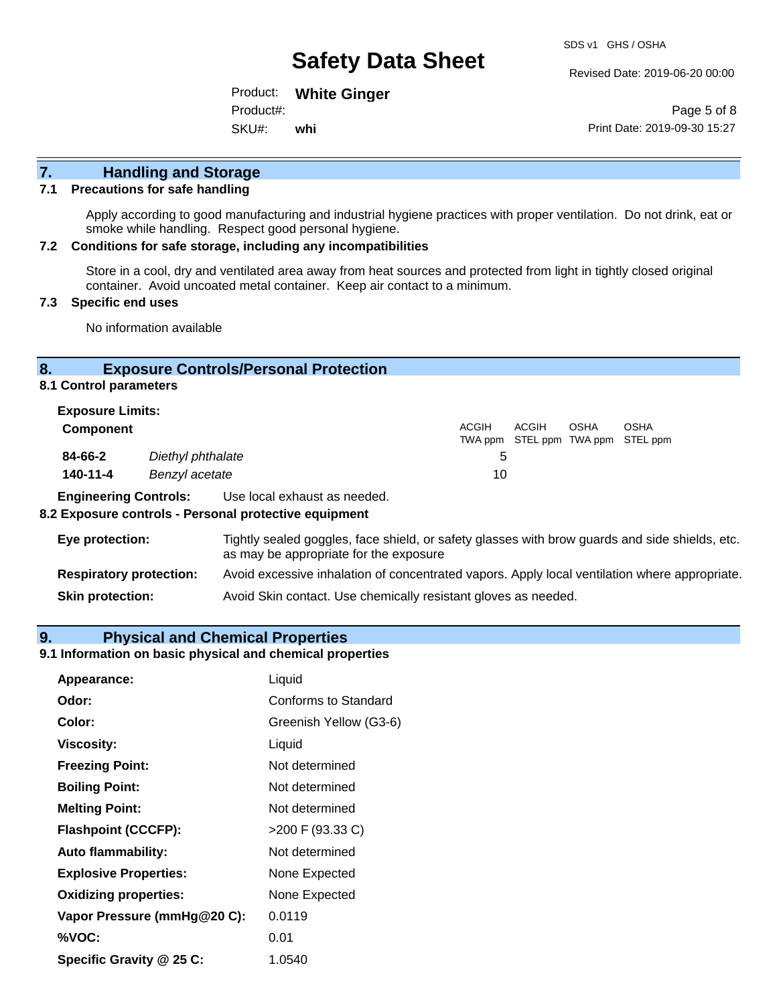Revised Date: 2019-06-20 00:00

Product: **White Ginger** SKU#: Product#: **whi**

Page 5 of 8 Print Date: 2019-09-30 15:27

# **7. Handling and Storage**

#### **7.1 Precautions for safe handling**

Apply according to good manufacturing and industrial hygiene practices with proper ventilation. Do not drink, eat or smoke while handling. Respect good personal hygiene.

#### **7.2 Conditions for safe storage, including any incompatibilities**

Store in a cool, dry and ventilated area away from heat sources and protected from light in tightly closed original container. Avoid uncoated metal container. Keep air contact to a minimum.

#### **7.3 Specific end uses**

No information available

#### **8. Exposure Controls/Personal Protection**

**8.1 Control parameters**

| <b>Exposure Limits:</b> |                   |              |       |             |                                                  |
|-------------------------|-------------------|--------------|-------|-------------|--------------------------------------------------|
| Component               |                   | <b>ACGIH</b> | ACGIH | <b>OSHA</b> | <b>OSHA</b><br>TWA ppm STEL ppm TWA ppm STEL ppm |
| 84-66-2                 | Diethyl phthalate | h.           |       |             |                                                  |
| 140-11-4                | Benzyl acetate    | 10           |       |             |                                                  |

**Engineering Controls:** Use local exhaust as needed.

#### **8.2 Exposure controls - Personal protective equipment**

| Eye protection:                | Tightly sealed goggles, face shield, or safety glasses with brow guards and side shields, etc.<br>as may be appropriate for the exposure |
|--------------------------------|------------------------------------------------------------------------------------------------------------------------------------------|
| <b>Respiratory protection:</b> | Avoid excessive inhalation of concentrated vapors. Apply local ventilation where appropriate.                                            |
| <b>Skin protection:</b>        | Avoid Skin contact. Use chemically resistant gloves as needed.                                                                           |

#### **9. Physical and Chemical Properties**

#### **9.1 Information on basic physical and chemical properties**

| Appearance:                  | Liquid                 |
|------------------------------|------------------------|
| Odor:                        | Conforms to Standard   |
| Color:                       | Greenish Yellow (G3-6) |
| Viscosity:                   | Liquid                 |
| <b>Freezing Point:</b>       | Not determined         |
| <b>Boiling Point:</b>        | Not determined         |
| <b>Melting Point:</b>        | Not determined         |
| <b>Flashpoint (CCCFP):</b>   | >200 F (93.33 C)       |
| <b>Auto flammability:</b>    | Not determined         |
| <b>Explosive Properties:</b> | None Expected          |
| <b>Oxidizing properties:</b> | None Expected          |
| Vapor Pressure (mmHg@20 C):  | 0.0119                 |
| %VOC:                        | 0.01                   |
| Specific Gravity @ 25 C:     | 1.0540                 |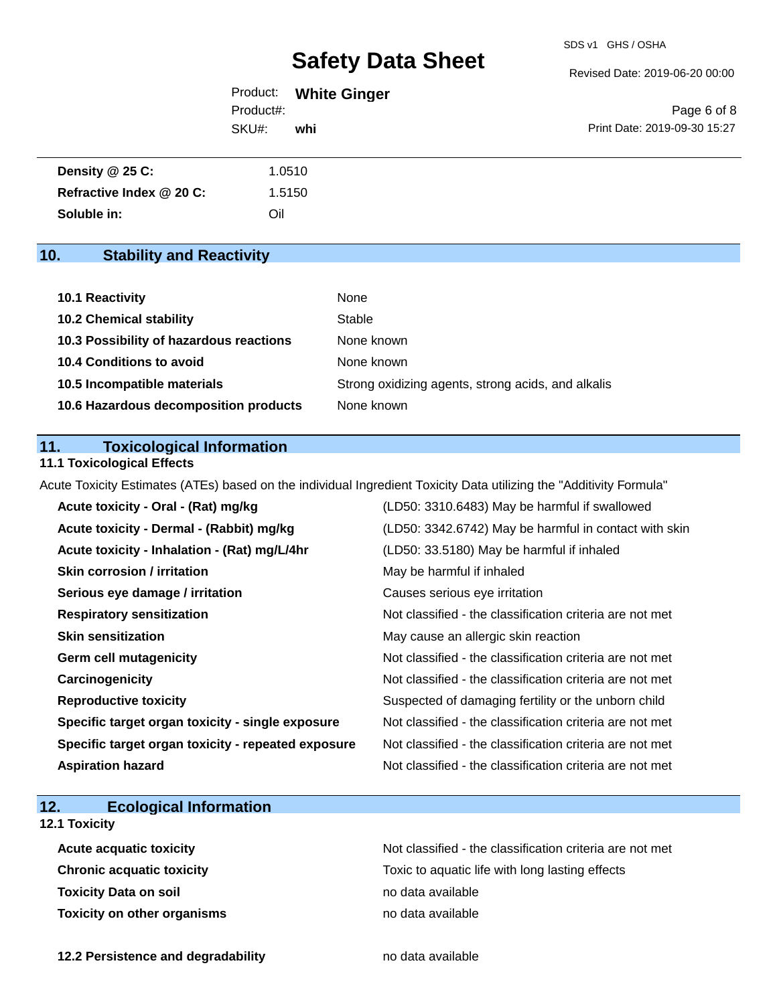Revised Date: 2019-06-20 00:00

|           | Product: White Ginger |    |
|-----------|-----------------------|----|
| Product#: |                       |    |
| SKU#:     | whi                   | Pı |

Page 6 of 8 rint Date: 2019-09-30 15:27

| Density @ 25 C:          | 1.0510 |
|--------------------------|--------|
| Refractive Index @ 20 C: | 1.5150 |
| Soluble in:              | Oil    |

# **10. Stability and Reactivity**

| 10.1 Reactivity                         | None                                               |
|-----------------------------------------|----------------------------------------------------|
| <b>10.2 Chemical stability</b>          | Stable                                             |
| 10.3 Possibility of hazardous reactions | None known                                         |
| 10.4 Conditions to avoid                | None known                                         |
| 10.5 Incompatible materials             | Strong oxidizing agents, strong acids, and alkalis |
| 10.6 Hazardous decomposition products   | None known                                         |

### **11. Toxicological Information**

#### **11.1 Toxicological Effects**

Acute Toxicity Estimates (ATEs) based on the individual Ingredient Toxicity Data utilizing the "Additivity Formula"

| Acute toxicity - Oral - (Rat) mg/kg                | (LD50: 3310.6483) May be harmful if swallowed            |
|----------------------------------------------------|----------------------------------------------------------|
| Acute toxicity - Dermal - (Rabbit) mg/kg           | (LD50: 3342.6742) May be harmful in contact with skin    |
| Acute toxicity - Inhalation - (Rat) mg/L/4hr       | (LD50: 33.5180) May be harmful if inhaled                |
| <b>Skin corrosion / irritation</b>                 | May be harmful if inhaled                                |
| Serious eye damage / irritation                    | Causes serious eye irritation                            |
| <b>Respiratory sensitization</b>                   | Not classified - the classification criteria are not met |
| <b>Skin sensitization</b>                          | May cause an allergic skin reaction                      |
| <b>Germ cell mutagenicity</b>                      | Not classified - the classification criteria are not met |
| Carcinogenicity                                    | Not classified - the classification criteria are not met |
| <b>Reproductive toxicity</b>                       | Suspected of damaging fertility or the unborn child      |
| Specific target organ toxicity - single exposure   | Not classified - the classification criteria are not met |
| Specific target organ toxicity - repeated exposure | Not classified - the classification criteria are not met |
| <b>Aspiration hazard</b>                           | Not classified - the classification criteria are not met |

# **12. Ecological Information**

### **12.1 Toxicity**

| <b>Acute acquatic toxicity</b>     | Not classified - the classification criteria are not met |
|------------------------------------|----------------------------------------------------------|
| <b>Chronic acquatic toxicity</b>   | Toxic to aquatic life with long lasting effects          |
| <b>Toxicity Data on soil</b>       | no data available                                        |
| <b>Toxicity on other organisms</b> | no data available                                        |

**12.2 Persistence and degradability no data available**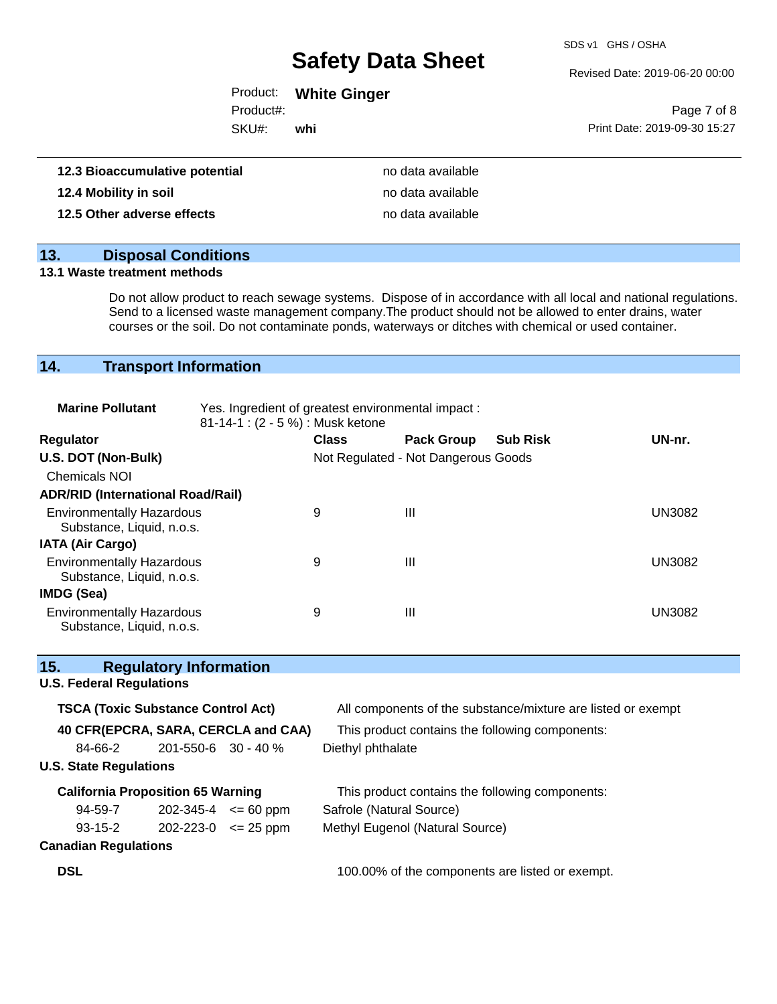SDS v1 GHS / OSHA

Revised Date: 2019-06-20 00:00

 $\,8\,$ 

|           | Product: White Ginger |                              |
|-----------|-----------------------|------------------------------|
| Product#: |                       | Page 7 of 8                  |
| SKU#:     | whi                   | Print Date: 2019-09-30 15:27 |

| 12.3 Bioaccumulative potential | no data available |
|--------------------------------|-------------------|
| 12.4 Mobility in soil          | no data available |
| 12.5 Other adverse effects     | no data available |

# **13. Disposal Conditions**

#### **13.1 Waste treatment methods**

Do not allow product to reach sewage systems. Dispose of in accordance with all local and national regulations. Send to a licensed waste management company.The product should not be allowed to enter drains, water courses or the soil. Do not contaminate ponds, waterways or ditches with chemical or used container.

### **14. Transport Information**

| <b>Marine Pollutant</b>                                       | Yes. Ingredient of greatest environmental impact:<br>81-14-1 : (2 - 5 %) : Musk ketone |              |                                     |                 |               |  |
|---------------------------------------------------------------|----------------------------------------------------------------------------------------|--------------|-------------------------------------|-----------------|---------------|--|
| <b>Regulator</b>                                              |                                                                                        | <b>Class</b> | <b>Pack Group</b>                   | <b>Sub Risk</b> | UN-nr.        |  |
| U.S. DOT (Non-Bulk)                                           |                                                                                        |              | Not Regulated - Not Dangerous Goods |                 |               |  |
| <b>Chemicals NOI</b>                                          |                                                                                        |              |                                     |                 |               |  |
|                                                               | <b>ADR/RID (International Road/Rail)</b>                                               |              |                                     |                 |               |  |
| <b>Environmentally Hazardous</b><br>Substance, Liquid, n.o.s. |                                                                                        | 9            | Ш                                   |                 | <b>UN3082</b> |  |
| <b>IATA (Air Cargo)</b>                                       |                                                                                        |              |                                     |                 |               |  |
| <b>Environmentally Hazardous</b><br>Substance, Liquid, n.o.s. |                                                                                        | 9            | Ш                                   |                 | <b>UN3082</b> |  |
| IMDG (Sea)                                                    |                                                                                        |              |                                     |                 |               |  |
| <b>Environmentally Hazardous</b><br>Substance, Liquid, n.o.s. |                                                                                        | 9            | Ш                                   |                 | UN3082        |  |

| 15.                                       | <b>Regulatory Information</b>            |                                     |                                                              |
|-------------------------------------------|------------------------------------------|-------------------------------------|--------------------------------------------------------------|
| <b>U.S. Federal Regulations</b>           |                                          |                                     |                                                              |
| <b>TSCA (Toxic Substance Control Act)</b> |                                          |                                     | All components of the substance/mixture are listed or exempt |
|                                           |                                          | 40 CFR(EPCRA, SARA, CERCLA and CAA) | This product contains the following components:              |
| 84-66-2                                   | $201 - 550 - 6$ 30 - 40 %                |                                     | Diethyl phthalate                                            |
| <b>U.S. State Regulations</b>             |                                          |                                     |                                                              |
|                                           | <b>California Proposition 65 Warning</b> |                                     | This product contains the following components:              |
| 94-59-7                                   |                                          | $202 - 345 - 4 \le 60$ ppm          | Safrole (Natural Source)                                     |
| $93 - 15 - 2$                             |                                          | $202 - 223 - 0 \le 25$ ppm          | Methyl Eugenol (Natural Source)                              |
| <b>Canadian Regulations</b>               |                                          |                                     |                                                              |
| <b>DSL</b>                                |                                          |                                     | 100.00% of the components are listed or exempt.              |